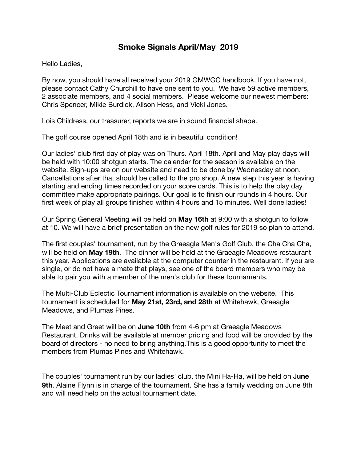## **Smoke Signals April/May 2019**

Hello Ladies,

By now, you should have all received your 2019 GMWGC handbook. If you have not, please contact Cathy Churchill to have one sent to you. We have 59 active members, 2 associate members, and 4 social members. Please welcome our newest members: Chris Spencer, Mikie Burdick, Alison Hess, and Vicki Jones.

Lois Childress, our treasurer, reports we are in sound financial shape.

The golf course opened April 18th and is in beautiful condition!

Our ladies' club first day of play was on Thurs. April 18th. April and May play days will be held with 10:00 shotgun starts. The calendar for the season is available on the website. Sign-ups are on our website and need to be done by Wednesday at noon. Cancellations after that should be called to the pro shop. A new step this year is having starting and ending times recorded on your score cards. This is to help the play day committee make appropriate pairings. Our goal is to finish our rounds in 4 hours. Our first week of play all groups finished within 4 hours and 15 minutes. Well done ladies!

Our Spring General Meeting will be held on **May 16th** at 9:00 with a shotgun to follow at 10. We will have a brief presentation on the new golf rules for 2019 so plan to attend.

The first couples' tournament, run by the Graeagle Men's Golf Club, the Cha Cha Cha, will be held on **May 19th**. The dinner will be held at the Graeagle Meadows restaurant this year. Applications are available at the computer counter in the restaurant. If you are single, or do not have a mate that plays, see one of the board members who may be able to pair you with a member of the men's club for these tournaments.

The Multi-Club Eclectic Tournament information is available on the website. This tournament is scheduled for **May 21st, 23rd, and 28th** at Whitehawk, Graeagle Meadows, and Plumas Pines.

The Meet and Greet will be on **June 10th** from 4-6 pm at Graeagle Meadows Restaurant. Drinks will be available at member pricing and food will be provided by the board of directors - no need to bring anything.This is a good opportunity to meet the members from Plumas Pines and Whitehawk.

The couples' tournament run by our ladies' club, the Mini Ha-Ha, will be held on J**une 9th**. Alaine Flynn is in charge of the tournament. She has a family wedding on June 8th and will need help on the actual tournament date.